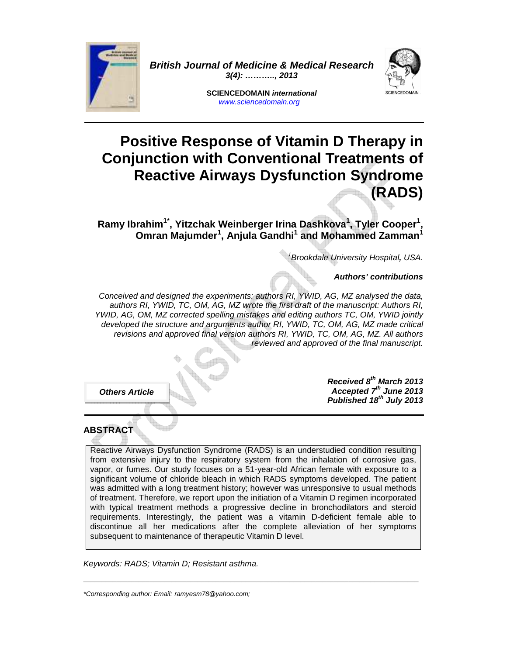

**British Journal of Medicine & Medical Research 3(4): ……….., 2013** 



**SCIENCEDOMAIN international**  www.sciencedomain.org

# **Positive Response of Vitamin D Therapy in Conjunction with Conventional Treatments of Reactive Airways Dysfunction Syndrome (RADS)**

**Ramy Ibrahim1\*, Yitzchak Weinberger Irina Dashkova<sup>1</sup> , Tyler Cooper<sup>1</sup> , Omran Majumder<sup>1</sup> , Anjula Gandhi<sup>1</sup> and Mohammed Zamman<sup>1</sup>**

1 Brookdale University Hospital**,** USA.

**Authors' contributions** 

Conceived and designed the experiments: authors RI, YWID, AG, MZ analysed the data, authors RI, YWID, TC, OM, AG, MZ wrote the first draft of the manuscript: Authors RI, YWID, AG, OM, MZ corrected spelling mistakes and editing authors TC, OM, YWID jointly developed the structure and arguments author RI, YWID, TC, OM, AG, MZ made critical revisions and approved final version authors RI, YWID, TC, OM, AG, MZ. All authors reviewed and approved of the final manuscript.

**Others Article** 

**Received 8th March 2013 Accepted 7th June 2013 Published 18th July 2013**

## **ABSTRACT**

Reactive Airways Dysfunction Syndrome (RADS) is an understudied condition resulting from extensive injury to the respiratory system from the inhalation of corrosive gas, vapor, or fumes. Our study focuses on a 51-year-old African female with exposure to a significant volume of chloride bleach in which RADS symptoms developed. The patient was admitted with a long treatment history; however was unresponsive to usual methods of treatment. Therefore, we report upon the initiation of a Vitamin D regimen incorporated with typical treatment methods a progressive decline in bronchodilators and steroid requirements. Interestingly, the patient was a vitamin D-deficient female able to discontinue all her medications after the complete alleviation of her symptoms subsequent to maintenance of therapeutic Vitamin D level.

 $\_$  , and the set of the set of the set of the set of the set of the set of the set of the set of the set of the set of the set of the set of the set of the set of the set of the set of the set of the set of the set of th

Keywords: RADS; Vitamin D; Resistant asthma.

\*Corresponding author: Email: ramyesm78@yahoo.com;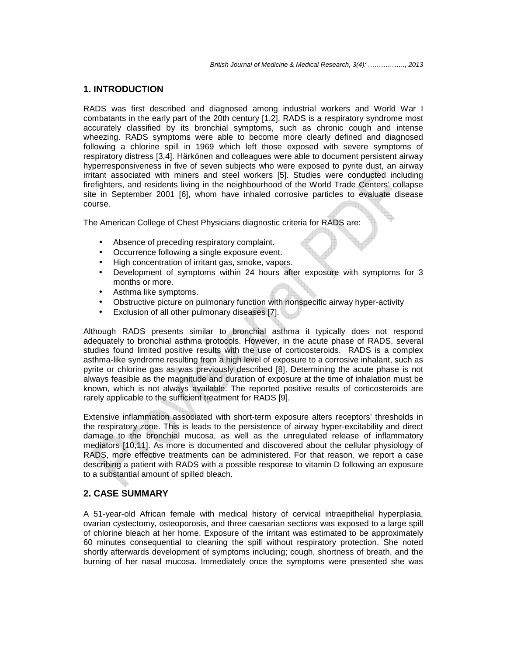#### **1. INTRODUCTION**

RADS was first described and diagnosed among industrial workers and World War I combatants in the early part of the 20th century [1,2]. RADS is a respiratory syndrome most accurately classified by its bronchial symptoms, such as chronic cough and intense wheezing. RADS symptoms were able to become more clearly defined and diagnosed following a chlorine spill in 1969 which left those exposed with severe symptoms of respiratory distress [3,4]. Härkönen and colleagues were able to document persistent airway hyperresponsiveness in five of seven subjects who were exposed to pyrite dust, an airway irritant associated with miners and steel workers [5]. Studies were conducted including firefighters, and residents living in the neighbourhood of the World Trade Centers' collapse site in September 2001 [6], whom have inhaled corrosive particles to evaluate disease course.

The American College of Chest Physicians diagnostic criteria for RADS are:

- Absence of preceding respiratory complaint.
- Occurrence following a single exposure event.
- High concentration of irritant gas, smoke, vapors.
- Development of symptoms within 24 hours after exposure with symptoms for 3 months or more.
- Asthma like symptoms.
- Obstructive picture on pulmonary function with nonspecific airway hyper-activity
- Exclusion of all other pulmonary diseases [7].

Although RADS presents similar to bronchial asthma it typically does not respond adequately to bronchial asthma protocols. However, in the acute phase of RADS, several studies found limited positive results with the use of corticosteroids. RADS is a complex asthma-like syndrome resulting from a high level of exposure to a corrosive inhalant, such as pyrite or chlorine gas as was previously described [8]. Determining the acute phase is not always feasible as the magnitude and duration of exposure at the time of inhalation must be known, which is not always available. The reported positive results of corticosteroids are rarely applicable to the sufficient treatment for RADS [9].

Extensive inflammation associated with short-term exposure alters receptors' thresholds in the respiratory zone. This is leads to the persistence of airway hyper-excitability and direct damage to the bronchial mucosa, as well as the unregulated release of inflammatory mediators [10,11]. As more is documented and discovered about the cellular physiology of RADS, more effective treatments can be administered. For that reason, we report a case describing a patient with RADS with a possible response to vitamin D following an exposure to a substantial amount of spilled bleach.

#### **2. CASE SUMMARY**

A 51-year-old African female with medical history of cervical intraepithelial hyperplasia, ovarian cystectomy, osteoporosis, and three caesarian sections was exposed to a large spill of chlorine bleach at her home. Exposure of the irritant was estimated to be approximately 60 minutes consequential to cleaning the spill without respiratory protection. She noted shortly afterwards development of symptoms including; cough, shortness of breath, and the burning of her nasal mucosa. Immediately once the symptoms were presented she was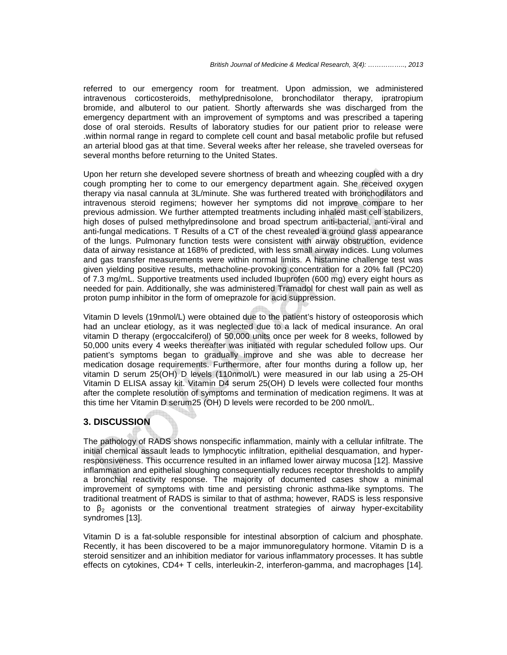referred to our emergency room for treatment. Upon admission, we administered intravenous corticosteroids, methylprednisolone, bronchodilator therapy, ipratropium bromide, and albuterol to our patient. Shortly afterwards she was discharged from the emergency department with an improvement of symptoms and was prescribed a tapering dose of oral steroids. Results of laboratory studies for our patient prior to release were .within normal range in regard to complete cell count and basal metabolic profile but refused an arterial blood gas at that time. Several weeks after her release, she traveled overseas for several months before returning to the United States.

Upon her return she developed severe shortness of breath and wheezing coupled with a dry cough prompting her to come to our emergency department again. She received oxygen therapy via nasal cannula at 3L/minute. She was furthered treated with bronchodilators and intravenous steroid regimens; however her symptoms did not improve compare to her previous admission. We further attempted treatments including inhaled mast cell stabilizers, high doses of pulsed methylpredinsolone and broad spectrum anti-bacterial, anti-viral and anti-fungal medications. T Results of a CT of the chest revealed a ground glass appearance of the lungs. Pulmonary function tests were consistent with airway obstruction, evidence data of airway resistance at 168% of predicted, with less small airway indices. Lung volumes and gas transfer measurements were within normal limits. A histamine challenge test was given yielding positive results, methacholine-provoking concentration for a 20% fall (PC20) of 7.3 mg/mL. Supportive treatments used included Ibuprofen (600 mg) every eight hours as needed for pain. Additionally, she was administered Tramadol for chest wall pain as well as proton pump inhibitor in the form of omeprazole for acid suppression.

Vitamin D levels (19nmol/L) were obtained due to the patient's history of osteoporosis which had an unclear etiology, as it was neglected due to a lack of medical insurance. An oral vitamin D therapy (ergoccalciferol) of 50,000 units once per week for 8 weeks, followed by 50,000 units every 4 weeks thereafter was initiated with regular scheduled follow ups. Our patient's symptoms began to gradually improve and she was able to decrease her medication dosage requirements. Furthermore, after four months during a follow up, her vitamin D serum 25(OH) D levels (110nmol/L) were measured in our lab using a 25-OH Vitamin D ELISA assay kit. Vitamin D4 serum 25(OH) D levels were collected four months after the complete resolution of symptoms and termination of medication regimens. It was at this time her Vitamin D serum25 (OH) D levels were recorded to be 200 nmol/L.

#### **3. DISCUSSION**

The pathology of RADS shows nonspecific inflammation, mainly with a cellular infiltrate. The initial chemical assault leads to lymphocytic infiltration, epithelial desquamation, and hyperresponsiveness. This occurrence resulted in an inflamed lower airway mucosa [12]. Massive inflammation and epithelial sloughing consequentially reduces receptor thresholds to amplify a bronchial reactivity response. The majority of documented cases show a minimal improvement of symptoms with time and persisting chronic asthma-like symptoms. The traditional treatment of RADS is similar to that of asthma; however, RADS is less responsive to  $\beta_2$  agonists or the conventional treatment strategies of airway hyper-excitability syndromes [13].

Vitamin D is a fat-soluble responsible for intestinal absorption of calcium and phosphate. Recently, it has been discovered to be a major immunoregulatory hormone. Vitamin D is a steroid sensitizer and an inhibition mediator for various inflammatory processes. It has subtle effects on cytokines, CD4+ T cells, interleukin-2, interferon-gamma, and macrophages [14].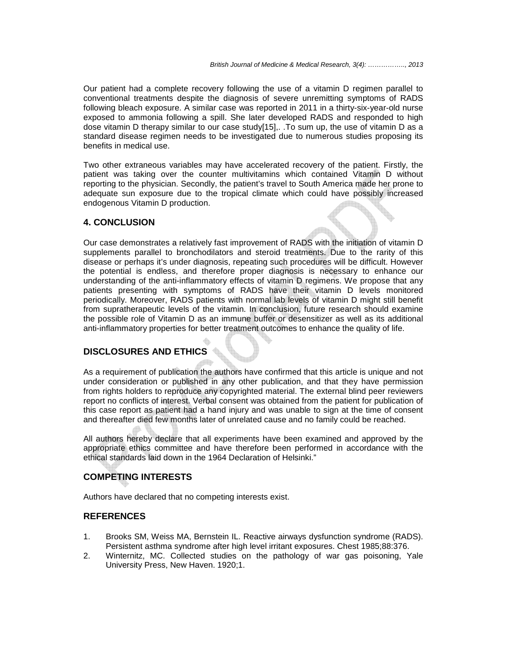Our patient had a complete recovery following the use of a vitamin D regimen parallel to conventional treatments despite the diagnosis of severe unremitting symptoms of RADS following bleach exposure. A similar case was reported in 2011 in a thirty-six-year-old nurse exposed to ammonia following a spill. She later developed RADS and responded to high dose vitamin D therapy similar to our case study[15],. .To sum up, the use of vitamin D as a standard disease regimen needs to be investigated due to numerous studies proposing its benefits in medical use.

Two other extraneous variables may have accelerated recovery of the patient. Firstly, the patient was taking over the counter multivitamins which contained Vitamin D without reporting to the physician. Secondly, the patient's travel to South America made her prone to adequate sun exposure due to the tropical climate which could have possibly increased endogenous Vitamin D production.

#### **4. CONCLUSION**

Our case demonstrates a relatively fast improvement of RADS with the initiation of vitamin D supplements parallel to bronchodilators and steroid treatments. Due to the rarity of this disease or perhaps it's under diagnosis, repeating such procedures will be difficult. However the potential is endless, and therefore proper diagnosis is necessary to enhance our understanding of the anti-inflammatory effects of vitamin D regimens. We propose that any patients presenting with symptoms of RADS have their vitamin D levels monitored periodically. Moreover, RADS patients with normal lab levels of vitamin D might still benefit from supratherapeutic levels of the vitamin. In conclusion, future research should examine the possible role of Vitamin D as an immune buffer or desensitizer as well as its additional anti-inflammatory properties for better treatment outcomes to enhance the quality of life.

### **DISCLOSURES AND ETHICS**

As a requirement of publication the authors have confirmed that this article is unique and not under consideration or published in any other publication, and that they have permission from rights holders to reproduce any copyrighted material. The external blind peer reviewers report no conflicts of interest. Verbal consent was obtained from the patient for publication of this case report as patient had a hand injury and was unable to sign at the time of consent and thereafter died few months later of unrelated cause and no family could be reached.

All authors hereby declare that all experiments have been examined and approved by the appropriate ethics committee and have therefore been performed in accordance with the ethical standards laid down in the 1964 Declaration of Helsinki."

## **COMPETING INTERESTS**

Authors have declared that no competing interests exist.

#### **REFERENCES**

- 1. Brooks SM, Weiss MA, Bernstein IL. Reactive airways dysfunction syndrome (RADS). Persistent asthma syndrome after high level irritant exposures. Chest 1985;88:376.
- 2. Winternitz, MC. Collected studies on the pathology of war gas poisoning, Yale University Press, New Haven. 1920;1.